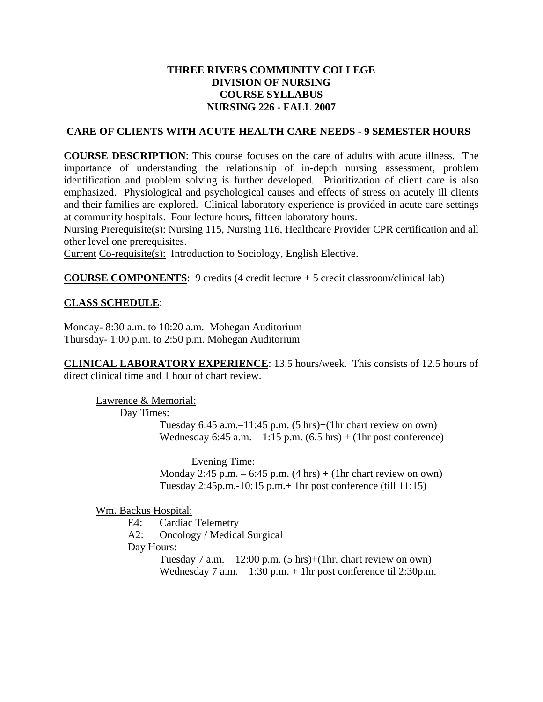# **THREE RIVERS COMMUNITY COLLEGE DIVISION OF NURSING COURSE SYLLABUS NURSING 226 - FALL 2007**

## **CARE OF CLIENTS WITH ACUTE HEALTH CARE NEEDS - 9 SEMESTER HOURS**

**COURSE DESCRIPTION**: This course focuses on the care of adults with acute illness. The importance of understanding the relationship of in-depth nursing assessment, problem identification and problem solving is further developed. Prioritization of client care is also emphasized. Physiological and psychological causes and effects of stress on acutely ill clients and their families are explored. Clinical laboratory experience is provided in acute care settings at community hospitals. Four lecture hours, fifteen laboratory hours.

Nursing Prerequisite(s): Nursing 115, Nursing 116, Healthcare Provider CPR certification and all other level one prerequisites.

Current Co-requisite(s): Introduction to Sociology, English Elective.

**COURSE COMPONENTS:** 9 credits (4 credit lecture + 5 credit classroom/clinical lab)

# **CLASS SCHEDULE**:

Monday- 8:30 a.m. to 10:20 a.m. Mohegan Auditorium Thursday- 1:00 p.m. to 2:50 p.m. Mohegan Auditorium

**CLINICAL LABORATORY EXPERIENCE**: 13.5 hours/week. This consists of 12.5 hours of direct clinical time and 1 hour of chart review.

Lawrence & Memorial: Day Times:

> Tuesday  $6:45$  a.m. $-11:45$  p.m.  $(5 \text{ hrs})+(1 \text{ hr} \text{ chart} \text{ review on own})$ Wednesday 6:45 a.m.  $-1:15$  p.m. (6.5 hrs) + (1hr post conference)

> Evening Time: Monday 2:45 p.m.  $-6:45$  p.m.  $(4 \text{ hrs}) + (1 \text{hr} \text{ chart review on own})$ Tuesday 2:45p.m.-10:15 p.m.+ 1hr post conference (till 11:15)

Wm. Backus Hospital:

- E4: Cardiac Telemetry
- A2: Oncology / Medical Surgical

Day Hours:

Tuesday 7 a.m.  $-12:00$  p.m. (5 hrs)+(1hr. chart review on own) Wednesday 7 a.m. – 1:30 p.m. + 1hr post conference til 2:30p.m.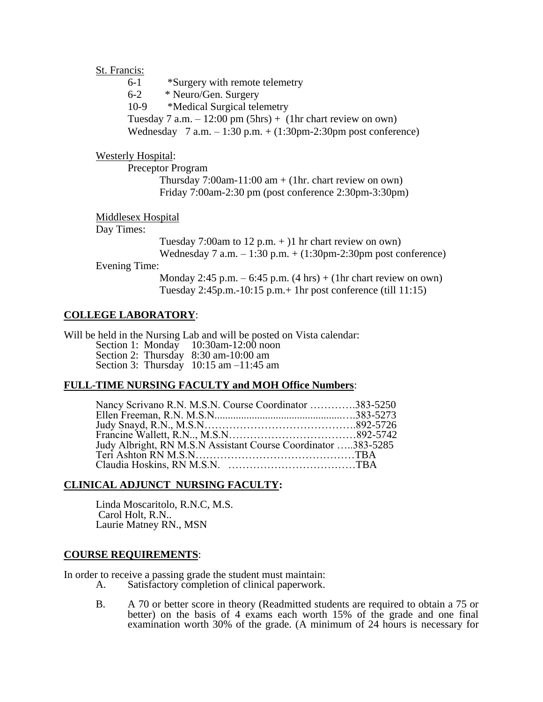#### St. Francis:

| 6-1   | *Surgery with remote telemetry                                                                |
|-------|-----------------------------------------------------------------------------------------------|
| $6-2$ | * Neuro/Gen. Surgery                                                                          |
| 10-9  | *Medical Surgical telemetry                                                                   |
|       | Tuesday 7 a.m. $-12:00 \text{ pm} (5\text{ hrs}) + (1\text{ hr} \text{ chart review on own})$ |
|       | Wednesday $7$ a.m. $-1:30$ p.m. $+(1:30$ pm-2:30 pm post conference)                          |

## Westerly Hospital:

Preceptor Program Thursday 7:00am-11:00 am  $+$  (1hr. chart review on own) Friday 7:00am-2:30 pm (post conference 2:30pm-3:30pm)

## Middlesex Hospital

# Day Times:

Tuesday 7:00am to 12 p.m.  $+$ )1 hr chart review on own) Wednesday 7 a.m.  $-1:30$  p.m.  $+ (1:30$ pm-2:30pm post conference)

#### Evening Time:

Monday 2:45 p.m.  $-6:45$  p.m.  $(4 \text{ hrs}) + (1 \text{hr} \text{ chart review on own})$ Tuesday 2:45p.m.-10:15 p.m.+ 1hr post conference (till 11:15)

## **COLLEGE LABORATORY**:

Will be held in the Nursing Lab and will be posted on Vista calendar: Section 1: Monday 10:30am-12:00 noon Section 2: Thursday 8:30 am-10:00 am Section 3: Thursday 10:15 am –11:45 am

## **FULL-TIME NURSING FACULTY and MOH Office Numbers**:

| Nancy Scrivano R.N. M.S.N. Course Coordinator 383-5250 |  |
|--------------------------------------------------------|--|
|                                                        |  |
|                                                        |  |
|                                                        |  |
|                                                        |  |
|                                                        |  |
|                                                        |  |

## **CLINICAL ADJUNCT NURSING FACULTY:**

Linda Moscaritolo, R.N.C, M.S. Carol Holt, R.N.. Laurie Matney RN., MSN

#### **COURSE REQUIREMENTS**:

In order to receive a passing grade the student must maintain:<br>A. Satisfactory completion of clinical paperwork.

- Satisfactory completion of clinical paperwork.
- B. A 70 or better score in theory (Readmitted students are required to obtain a 75 or better) on the basis of 4 exams each worth 15% of the grade and one final examination worth 30% of the grade. (A minimum of 24 hours is necessary for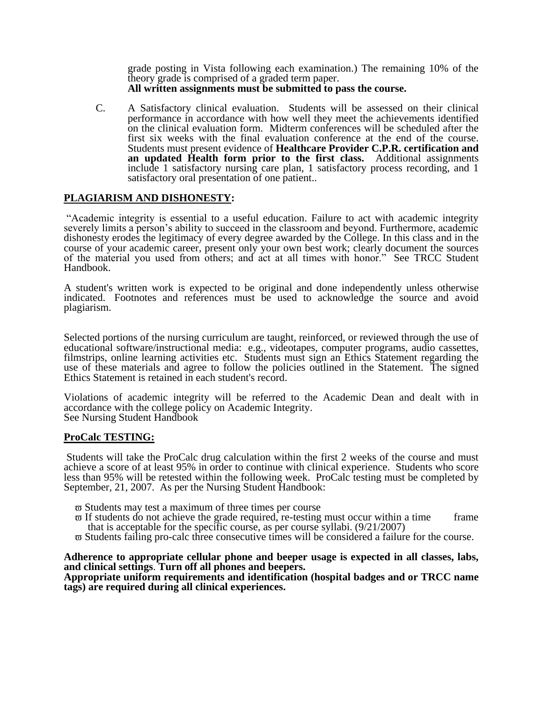grade posting in Vista following each examination.) The remaining 10% of the theory grade is comprised of a graded term paper. **All written assignments must be submitted to pass the course.**

C. A Satisfactory clinical evaluation. Students will be assessed on their clinical performance in accordance with how well they meet the achievements identified on the clinical evaluation form. Midterm conferences will be scheduled after the first six weeks with the final evaluation conference at the end of the course. Students must present evidence of **Healthcare Provider C.P.R. certification and an updated Health form prior to the first class.** Additional assignments include 1 satisfactory nursing care plan, 1 satisfactory process recording, and 1 satisfactory oral presentation of one patient..

## **PLAGIARISM AND DISHONESTY:**

"Academic integrity is essential to a useful education. Failure to act with academic integrity severely limits a person's ability to succeed in the classroom and beyond. Furthermore, academic dishonesty erodes the legitimacy of every degree awarded by the College. In this class and in the course of your academic career, present only your own best work; clearly document the sources of the material you used from others; and act at all times with honor." See TRCC Student Handbook.

A student's written work is expected to be original and done independently unless otherwise indicated. Footnotes and references must be used to acknowledge the source and avoid plagiarism.

Selected portions of the nursing curriculum are taught, reinforced, or reviewed through the use of educational software/instructional media: e.g., videotapes, computer programs, audio cassettes, filmstrips, online learning activities etc. Students must sign an Ethics Statement regarding the use of these materials and agree to follow the policies outlined in the Statement. The signed Ethics Statement is retained in each student's record.

Violations of academic integrity will be referred to the Academic Dean and dealt with in accordance with the college policy on Academic Integrity. See Nursing Student Handbook

#### **ProCalc TESTING:**

Students will take the ProCalc drug calculation within the first 2 weeks of the course and must achieve a score of at least 95% in order to continue with clinical experience. Students who score less than 95% will be retested within the following week. ProCalc testing must be completed by September, 21, 2007. As per the Nursing Student Handbook:

- $\varpi$  Students may test a maximum of three times per course
- $\overline{\omega}$  If students do not achieve the grade required, re-testing must occur within a time frame that is acceptable for the specific course, as per course syllabi. (9/21/2007)
- Students failing pro-calc three consecutive times will be considered a failure for the course.

**Adherence to appropriate cellular phone and beeper usage is expected in all classes, labs, and clinical settings**. **Turn off all phones and beepers.**

**Appropriate uniform requirements and identification (hospital badges and or TRCC name tags) are required during all clinical experiences.**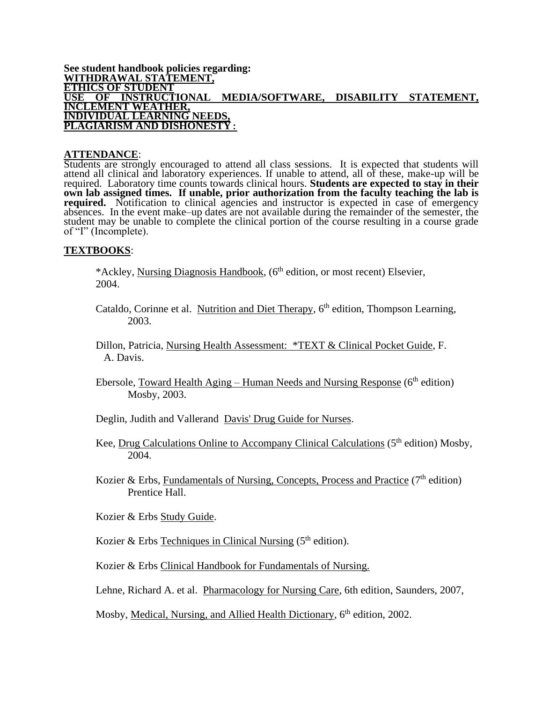#### **See student handbook policies regarding: WITHDRAWAL STATEMENT, ETHICS OF STUDENT USE OF INSTRUCTIONAL MEDIA/SOFTWARE, DISABILITY STATEMENT, INCLEMENT WEATHER, INDIVIDUAL LEARNING NEEDS, PLAGIARISM AND DISHONESTY:**

#### **ATTENDANCE**:

Students are strongly encouraged to attend all class sessions. It is expected that students will attend all clinical and laboratory experiences. If unable to attend, all of these, make-up will be required. Laboratory time counts towards clinical hours. **Students are expected to stay in their own lab assigned times. If unable, prior authorization from the faculty teaching the lab is required.** Notification to clinical agencies and instructor is expected in case of emergency absences. In the event make–up dates are not available during the remainder of the semester, the student may be unable to complete the clinical portion of the course resulting in a course grade of "I" (Incomplete).

#### **TEXTBOOKS**:

\*Ackley, Nursing Diagnosis Handbook, (6<sup>th</sup> edition, or most recent) Elsevier, 2004.

- Cataldo, Corinne et al. Nutrition and Diet Therapy, 6<sup>th</sup> edition, Thompson Learning, 2003.
- Dillon, Patricia, Nursing Health Assessment: \*TEXT & Clinical Pocket Guide, F. A. Davis.
- Ebersole, Toward Health Aging Human Needs and Nursing Response ( $6<sup>th</sup>$  edition) Mosby, 2003.
- Deglin, Judith and Vallerand Davis' Drug Guide for Nurses.
- Kee, Drug Calculations Online to Accompany Clinical Calculations (5<sup>th</sup> edition) Mosby, 2004.
- Kozier & Erbs, Fundamentals of Nursing, Concepts, Process and Practice  $(7<sup>th</sup>$  edition) Prentice Hall.
- Kozier & Erbs Study Guide.
- Kozier & Erbs Techniques in Clinical Nursing  $(5<sup>th</sup>$  edition).
- Kozier & Erbs Clinical Handbook for Fundamentals of Nursing.

Lehne, Richard A. et al. Pharmacology for Nursing Care, 6th edition, Saunders, 2007,

Mosby, Medical, Nursing, and Allied Health Dictionary, 6<sup>th</sup> edition, 2002.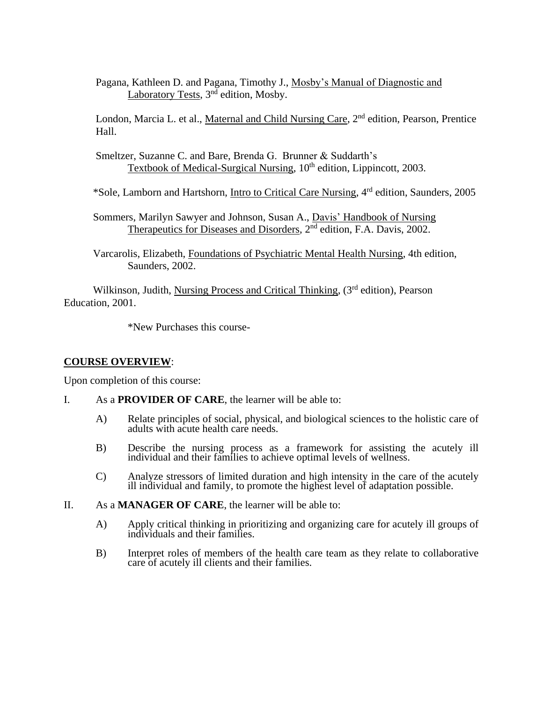Pagana, Kathleen D. and Pagana, Timothy J., Mosby's Manual of Diagnostic and Laboratory Tests, 3<sup>nd</sup> edition, Mosby.

London, Marcia L. et al., Maternal and Child Nursing Care, 2<sup>nd</sup> edition, Pearson, Prentice Hall.

Smeltzer, Suzanne C. and Bare, Brenda G. Brunner & Suddarth's Textbook of Medical-Surgical Nursing, 10<sup>th</sup> edition, Lippincott, 2003.

\*Sole, Lamborn and Hartshorn, Intro to Critical Care Nursing, 4rd edition, Saunders, 2005

- Sommers, Marilyn Sawyer and Johnson, Susan A., Davis' Handbook of Nursing Therapeutics for Diseases and Disorders, 2<sup>nd</sup> edition, F.A. Davis, 2002.
- Varcarolis, Elizabeth, Foundations of Psychiatric Mental Health Nursing, 4th edition, Saunders, 2002.

Wilkinson, Judith, Nursing Process and Critical Thinking, (3rd edition), Pearson Education, 2001.

\*New Purchases this course-

# **COURSE OVERVIEW**:

Upon completion of this course:

- I. As a **PROVIDER OF CARE**, the learner will be able to:
	- A) Relate principles of social, physical, and biological sciences to the holistic care of adults with acute health care needs.
	- B) Describe the nursing process as a framework for assisting the acutely ill individual and their families to achieve optimal levels of wellness.
	- C) Analyze stressors of limited duration and high intensity in the care of the acutely ill individual and family, to promote the highest level of adaptation possible.
- II. As a **MANAGER OF CARE**, the learner will be able to:
	- A) Apply critical thinking in prioritizing and organizing care for acutely ill groups of individuals and their families.
	- B) Interpret roles of members of the health care team as they relate to collaborative care of acutely ill clients and their families.